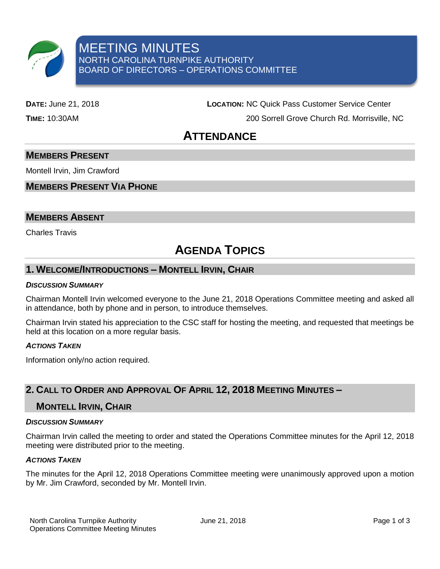

**DATE:** June 21, 2018 **LOCATION:** NC Quick Pass Customer Service Center

**TIME:** 10:30AM 200 Sorrell Grove Church Rd. Morrisville, NC

# **ATTENDANCE**

# **MEMBERS PRESENT**

Montell Irvin, Jim Crawford

# **MEMBERS PRESENT VIA PHONE**

## **MEMBERS ABSENT**

Charles Travis

# **AGENDA TOPICS**

# **1. WELCOME/INTRODUCTIONS – MONTELL IRVIN, CHAIR**

#### *DISCUSSION SUMMARY*

Chairman Montell Irvin welcomed everyone to the June 21, 2018 Operations Committee meeting and asked all in attendance, both by phone and in person, to introduce themselves.

Chairman Irvin stated his appreciation to the CSC staff for hosting the meeting, and requested that meetings be held at this location on a more regular basis.

#### *ACTIONS TAKEN*

Information only/no action required.

# **2. CALL TO ORDER AND APPROVAL OF APRIL 12, 2018 MEETING MINUTES –**

### **MONTELL IRVIN, CHAIR**

#### *DISCUSSION SUMMARY*

Chairman Irvin called the meeting to order and stated the Operations Committee minutes for the April 12, 2018 meeting were distributed prior to the meeting.

#### *ACTIONS TAKEN*

The minutes for the April 12, 2018 Operations Committee meeting were unanimously approved upon a motion by Mr. Jim Crawford, seconded by Mr. Montell Irvin.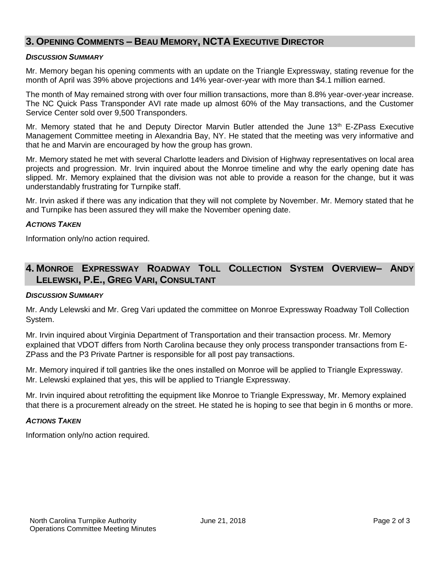# **3. OPENING COMMENTS – BEAU MEMORY, NCTA EXECUTIVE DIRECTOR**

#### *DISCUSSION SUMMARY*

Mr. Memory began his opening comments with an update on the Triangle Expressway, stating revenue for the month of April was 39% above projections and 14% year-over-year with more than \$4.1 million earned.

The month of May remained strong with over four million transactions, more than 8.8% year-over-year increase. The NC Quick Pass Transponder AVI rate made up almost 60% of the May transactions, and the Customer Service Center sold over 9,500 Transponders.

Mr. Memory stated that he and Deputy Director Marvin Butler attended the June 13<sup>th</sup> E-ZPass Executive Management Committee meeting in Alexandria Bay, NY. He stated that the meeting was very informative and that he and Marvin are encouraged by how the group has grown.

Mr. Memory stated he met with several Charlotte leaders and Division of Highway representatives on local area projects and progression. Mr. Irvin inquired about the Monroe timeline and why the early opening date has slipped. Mr. Memory explained that the division was not able to provide a reason for the change, but it was understandably frustrating for Turnpike staff.

Mr. Irvin asked if there was any indication that they will not complete by November. Mr. Memory stated that he and Turnpike has been assured they will make the November opening date.

#### *ACTIONS TAKEN*

Information only/no action required.

# **4. MONROE EXPRESSWAY ROADWAY TOLL COLLECTION SYSTEM OVERVIEW– ANDY LELEWSKI, P.E., GREG VARI, CONSULTANT**

#### *DISCUSSION SUMMARY*

Mr. Andy Lelewski and Mr. Greg Vari updated the committee on Monroe Expressway Roadway Toll Collection System.

Mr. Irvin inquired about Virginia Department of Transportation and their transaction process. Mr. Memory explained that VDOT differs from North Carolina because they only process transponder transactions from E-ZPass and the P3 Private Partner is responsible for all post pay transactions.

Mr. Memory inquired if toll gantries like the ones installed on Monroe will be applied to Triangle Expressway. Mr. Lelewski explained that yes, this will be applied to Triangle Expressway.

Mr. Irvin inquired about retrofitting the equipment like Monroe to Triangle Expressway, Mr. Memory explained that there is a procurement already on the street. He stated he is hoping to see that begin in 6 months or more.

#### *ACTIONS TAKEN*

Information only/no action required.